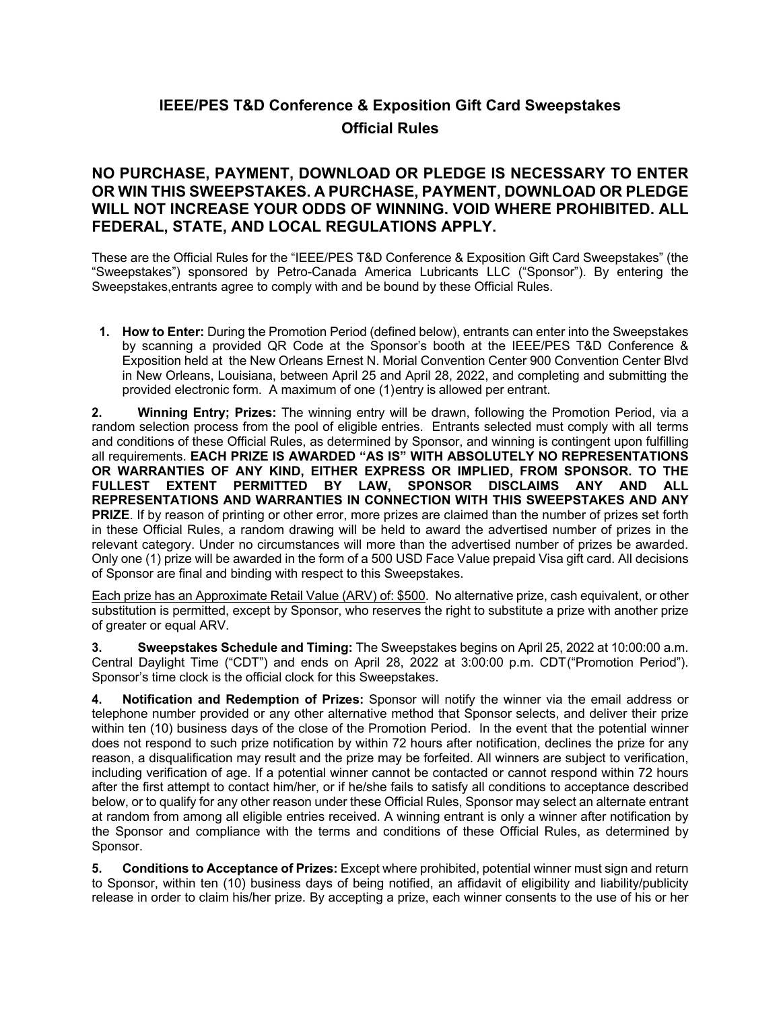## **IEEE/PES T&D Conference & Exposition Gift Card Sweepstakes Official Rules**

## **NO PURCHASE, PAYMENT, DOWNLOAD OR PLEDGE IS NECESSARY TO ENTER OR WIN THIS SWEEPSTAKES. A PURCHASE, PAYMENT, DOWNLOAD OR PLEDGE WILL NOT INCREASE YOUR ODDS OF WINNING. VOID WHERE PROHIBITED. ALL FEDERAL, STATE, AND LOCAL REGULATIONS APPLY.**

These are the Official Rules for the "IEEE/PES T&D Conference & Exposition Gift Card Sweepstakes" (the "Sweepstakes") sponsored by Petro-Canada America Lubricants LLC ("Sponsor"). By entering the Sweepstakes,entrants agree to comply with and be bound by these Official Rules.

**1. How to Enter:** During the Promotion Period (defined below), entrants can enter into the Sweepstakes by scanning a provided QR Code at the Sponsor's booth at the IEEE/PES T&D Conference & Exposition held at the New Orleans Ernest N. Morial Convention Center 900 Convention Center Blvd in New Orleans, Louisiana, between April 25 and April 28, 2022, and completing and submitting the provided electronic form. A maximum of one (1) entry is allowed per entrant.

**2. Winning Entry; Prizes:** The winning entry will be drawn, following the Promotion Period, via a random selection process from the pool of eligible entries. Entrants selected must comply with all terms and conditions of these Official Rules, as determined by Sponsor, and winning is contingent upon fulfilling all requirements. **EACH PRIZE IS AWARDED "AS IS" WITH ABSOLUTELY NO REPRESENTATIONS OR WARRANTIES OF ANY KIND, EITHER EXPRESS OR IMPLIED, FROM SPONSOR. TO THE FULLEST EXTENT PERMITTED BY LAW, SPONSOR DISCLAIMS ANY AND ALL REPRESENTATIONS AND WARRANTIES IN CONNECTION WITH THIS SWEEPSTAKES AND ANY PRIZE**. If by reason of printing or other error, more prizes are claimed than the number of prizes set forth in these Official Rules, a random drawing will be held to award the advertised number of prizes in the relevant category. Under no circumstances will more than the advertised number of prizes be awarded. Only one (1) prize will be awarded in the form of a 500 USD Face Value prepaid Visa gift card. All decisions of Sponsor are final and binding with respect to this Sweepstakes.

Each prize has an Approximate Retail Value (ARV) of: \$500. No alternative prize, cash equivalent, or other substitution is permitted, except by Sponsor, who reserves the right to substitute a prize with another prize of greater or equal ARV.

**3. Sweepstakes Schedule and Timing:** The Sweepstakes begins on April 25, 2022 at 10:00:00 a.m. Central Daylight Time ("CDT") and ends on April 28, 2022 at 3:00:00 p.m. CDT("Promotion Period"). Sponsor's time clock is the official clock for this Sweepstakes.

**4. Notification and Redemption of Prizes:** Sponsor will notify the winner via the email address or telephone number provided or any other alternative method that Sponsor selects, and deliver their prize within ten (10) business days of the close of the Promotion Period. In the event that the potential winner does not respond to such prize notification by within 72 hours after notification, declines the prize for any reason, a disqualification may result and the prize may be forfeited. All winners are subject to verification, including verification of age. If a potential winner cannot be contacted or cannot respond within 72 hours after the first attempt to contact him/her, or if he/she fails to satisfy all conditions to acceptance described below, or to qualify for any other reason under these Official Rules, Sponsor may select an alternate entrant at random from among all eligible entries received. A winning entrant is only a winner after notification by the Sponsor and compliance with the terms and conditions of these Official Rules, as determined by Sponsor.

**5. Conditions to Acceptance of Prizes:** Except where prohibited, potential winner must sign and return to Sponsor, within ten (10) business days of being notified, an affidavit of eligibility and liability/publicity release in order to claim his/her prize. By accepting a prize, each winner consents to the use of his or her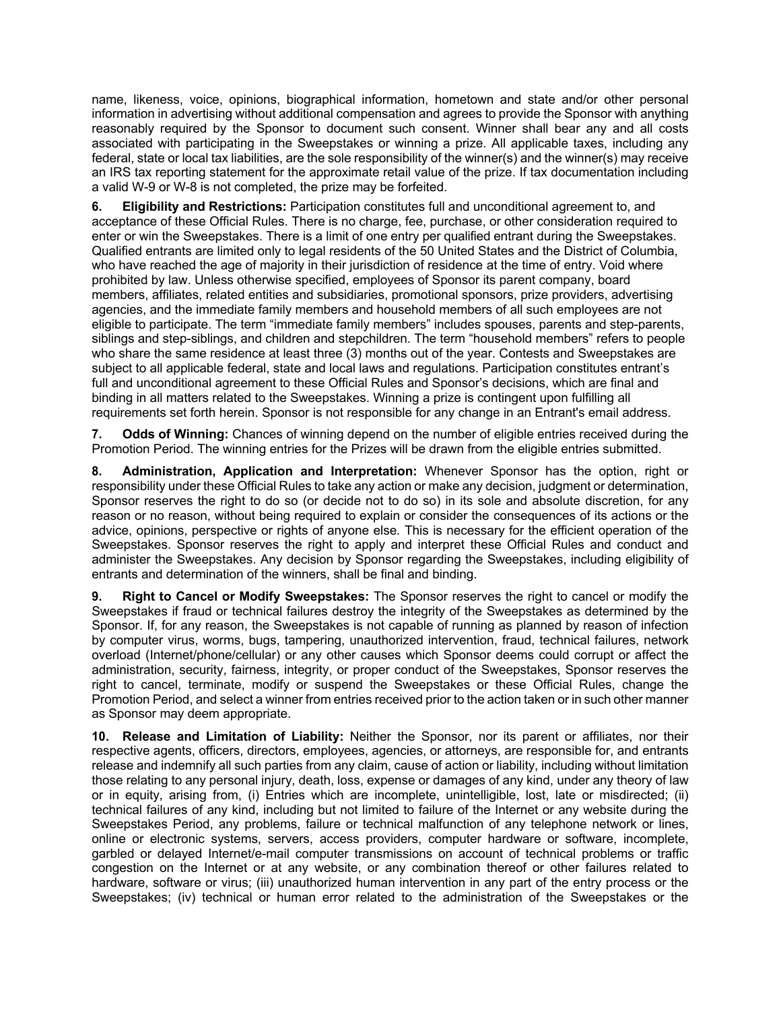name, likeness, voice, opinions, biographical information, hometown and state and/or other personal information in advertising without additional compensation and agrees to provide the Sponsor with anything reasonably required by the Sponsor to document such consent. Winner shall bear any and all costs associated with participating in the Sweepstakes or winning a prize. All applicable taxes, including any federal, state or local tax liabilities, are the sole responsibility of the winner(s) and the winner(s) may receive an IRS tax reporting statement for the approximate retail value of the prize. If tax documentation including a valid W-9 or W-8 is not completed, the prize may be forfeited.

**6. Eligibility and Restrictions:** Participation constitutes full and unconditional agreement to, and acceptance of these Official Rules. There is no charge, fee, purchase, or other consideration required to enter or win the Sweepstakes. There is a limit of one entry per qualified entrant during the Sweepstakes. Qualified entrants are limited only to legal residents of the 50 United States and the District of Columbia, who have reached the age of majority in their jurisdiction of residence at the time of entry. Void where prohibited by law. Unless otherwise specified, employees of Sponsor its parent company, board members, affiliates, related entities and subsidiaries, promotional sponsors, prize providers, advertising agencies, and the immediate family members and household members of all such employees are not eligible to participate. The term "immediate family members" includes spouses, parents and step-parents, siblings and step-siblings, and children and stepchildren. The term "household members" refers to people who share the same residence at least three (3) months out of the year. Contests and Sweepstakes are subject to all applicable federal, state and local laws and regulations. Participation constitutes entrant's full and unconditional agreement to these Official Rules and Sponsor's decisions, which are final and binding in all matters related to the Sweepstakes. Winning a prize is contingent upon fulfilling all requirements set forth herein. Sponsor is not responsible for any change in an Entrant's email address.

**7. Odds of Winning:** Chances of winning depend on the number of eligible entries received during the Promotion Period. The winning entries for the Prizes will be drawn from the eligible entries submitted.

**8. Administration, Application and Interpretation:** Whenever Sponsor has the option, right or responsibility under these Official Rules to take any action or make any decision, judgment or determination, Sponsor reserves the right to do so (or decide not to do so) in its sole and absolute discretion, for any reason or no reason, without being required to explain or consider the consequences of its actions or the advice, opinions, perspective or rights of anyone else*.* This is necessary for the efficient operation of the Sweepstakes. Sponsor reserves the right to apply and interpret these Official Rules and conduct and administer the Sweepstakes. Any decision by Sponsor regarding the Sweepstakes, including eligibility of entrants and determination of the winners, shall be final and binding.

**9. Right to Cancel or Modify Sweepstakes:** The Sponsor reserves the right to cancel or modify the Sweepstakes if fraud or technical failures destroy the integrity of the Sweepstakes as determined by the Sponsor. If, for any reason, the Sweepstakes is not capable of running as planned by reason of infection by computer virus, worms, bugs, tampering, unauthorized intervention, fraud, technical failures, network overload (Internet/phone/cellular) or any other causes which Sponsor deems could corrupt or affect the administration, security, fairness, integrity, or proper conduct of the Sweepstakes, Sponsor reserves the right to cancel, terminate, modify or suspend the Sweepstakes or these Official Rules, change the Promotion Period, and select a winner from entries received prior to the action taken or in such other manner as Sponsor may deem appropriate.

**10. Release and Limitation of Liability:** Neither the Sponsor, nor its parent or affiliates, nor their respective agents, officers, directors, employees, agencies, or attorneys, are responsible for, and entrants release and indemnify all such parties from any claim, cause of action or liability, including without limitation those relating to any personal injury, death, loss, expense or damages of any kind, under any theory of law or in equity, arising from, (i) Entries which are incomplete, unintelligible, lost, late or misdirected; (ii) technical failures of any kind, including but not limited to failure of the Internet or any website during the Sweepstakes Period, any problems, failure or technical malfunction of any telephone network or lines, online or electronic systems, servers, access providers, computer hardware or software, incomplete, garbled or delayed Internet/e-mail computer transmissions on account of technical problems or traffic congestion on the Internet or at any website, or any combination thereof or other failures related to hardware, software or virus; (iii) unauthorized human intervention in any part of the entry process or the Sweepstakes; (iv) technical or human error related to the administration of the Sweepstakes or the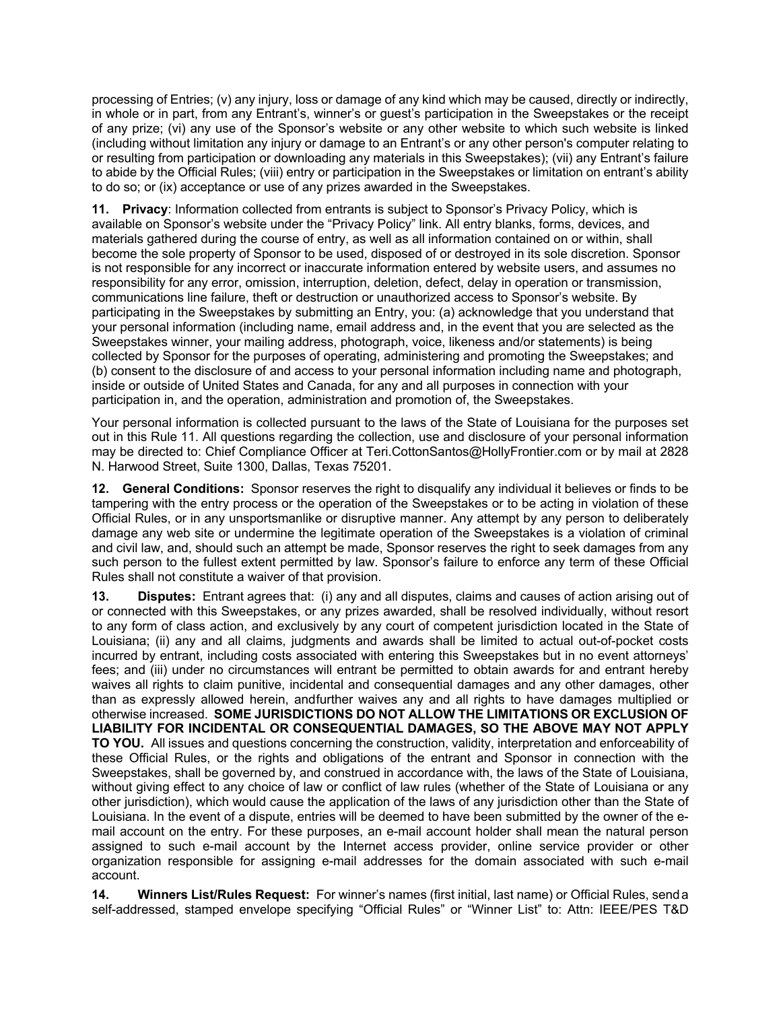processing of Entries; (v) any injury, loss or damage of any kind which may be caused, directly or indirectly, in whole or in part, from any Entrant's, winner's or guest's participation in the Sweepstakes or the receipt of any prize; (vi) any use of the Sponsor's website or any other website to which such website is linked (including without limitation any injury or damage to an Entrant's or any other person's computer relating to or resulting from participation or downloading any materials in this Sweepstakes); (vii) any Entrant's failure to abide by the Official Rules; (viii) entry or participation in the Sweepstakes or limitation on entrant's ability to do so; or (ix) acceptance or use of any prizes awarded in the Sweepstakes.

**11. Privacy**: Information collected from entrants is subject to Sponsor's Privacy Policy, which is available on Sponsor's website under the "Privacy Policy" link. All entry blanks, forms, devices, and materials gathered during the course of entry, as well as all information contained on or within, shall become the sole property of Sponsor to be used, disposed of or destroyed in its sole discretion. Sponsor is not responsible for any incorrect or inaccurate information entered by website users, and assumes no responsibility for any error, omission, interruption, deletion, defect, delay in operation or transmission, communications line failure, theft or destruction or unauthorized access to Sponsor's website. By participating in the Sweepstakes by submitting an Entry, you: (a) acknowledge that you understand that your personal information (including name, email address and, in the event that you are selected as the Sweepstakes winner, your mailing address, photograph, voice, likeness and/or statements) is being collected by Sponsor for the purposes of operating, administering and promoting the Sweepstakes; and (b) consent to the disclosure of and access to your personal information including name and photograph, inside or outside of United States and Canada, for any and all purposes in connection with your participation in, and the operation, administration and promotion of, the Sweepstakes.

Your personal information is collected pursuant to the laws of the State of Louisiana for the purposes set out in this Rule 11. All questions regarding the collection, use and disclosure of your personal information may be directed to: Chief Compliance Officer at Teri.CottonSantos@HollyFrontier.com or by mail at 2828 N. Harwood Street, Suite 1300, Dallas, Texas 75201.

**12. General Conditions:** Sponsor reserves the right to disqualify any individual it believes or finds to be tampering with the entry process or the operation of the Sweepstakes or to be acting in violation of these Official Rules, or in any unsportsmanlike or disruptive manner. Any attempt by any person to deliberately damage any web site or undermine the legitimate operation of the Sweepstakes is a violation of criminal and civil law, and, should such an attempt be made, Sponsor reserves the right to seek damages from any such person to the fullest extent permitted by law. Sponsor's failure to enforce any term of these Official Rules shall not constitute a waiver of that provision.

**13. Disputes:** Entrant agrees that: (i) any and all disputes, claims and causes of action arising out of or connected with this Sweepstakes, or any prizes awarded, shall be resolved individually, without resort to any form of class action, and exclusively by any court of competent jurisdiction located in the State of Louisiana; (ii) any and all claims, judgments and awards shall be limited to actual out-of-pocket costs incurred by entrant, including costs associated with entering this Sweepstakes but in no event attorneys' fees; and (iii) under no circumstances will entrant be permitted to obtain awards for and entrant hereby waives all rights to claim punitive, incidental and consequential damages and any other damages, other than as expressly allowed herein, andfurther waives any and all rights to have damages multiplied or otherwise increased. **SOME JURISDICTIONS DO NOT ALLOW THE LIMITATIONS OR EXCLUSION OF LIABILITY FOR INCIDENTAL OR CONSEQUENTIAL DAMAGES, SO THE ABOVE MAY NOT APPLY TO YOU.** All issues and questions concerning the construction, validity, interpretation and enforceability of these Official Rules, or the rights and obligations of the entrant and Sponsor in connection with the Sweepstakes, shall be governed by, and construed in accordance with, the laws of the State of Louisiana, without giving effect to any choice of law or conflict of law rules (whether of the State of Louisiana or any other jurisdiction), which would cause the application of the laws of any jurisdiction other than the State of Louisiana. In the event of a dispute, entries will be deemed to have been submitted by the owner of the email account on the entry. For these purposes, an e-mail account holder shall mean the natural person assigned to such e-mail account by the Internet access provider, online service provider or other organization responsible for assigning e-mail addresses for the domain associated with such e-mail account.

**14. Winners List/Rules Request:** For winner's names (first initial, last name) or Official Rules, send a self-addressed, stamped envelope specifying "Official Rules" or "Winner List" to: Attn: IEEE/PES T&D